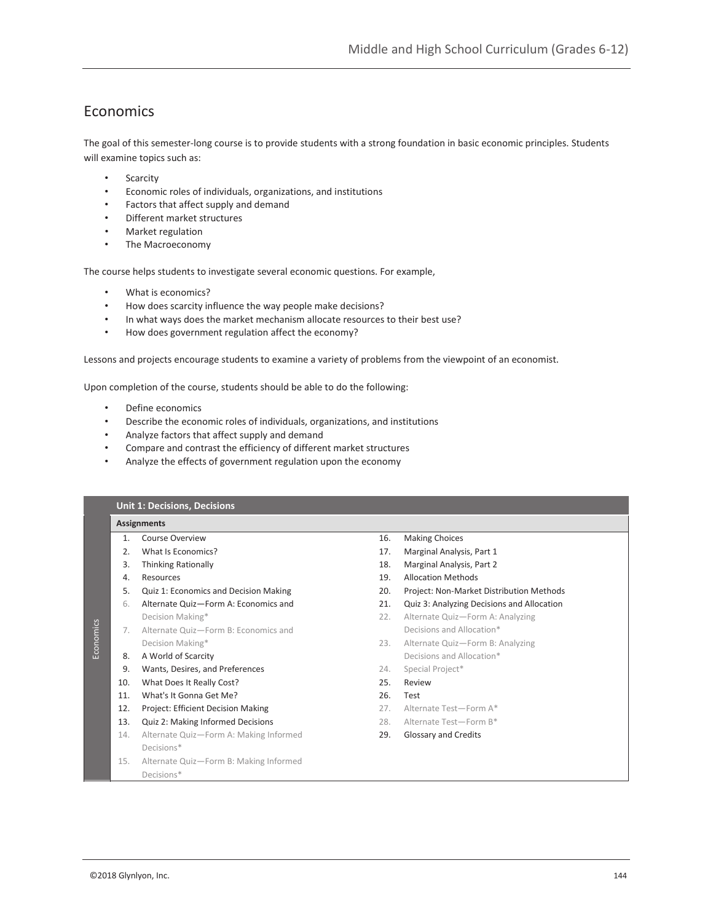# Economics

The goal of this semester-long course is to provide students with a strong foundation in basic economic principles. Students will examine topics such as:

- Scarcity
- Economic roles of individuals, organizations, and institutions
- Factors that affect supply and demand
- Different market structures
- Market regulation
- The Macroeconomy

The course helps students to investigate several economic questions. For example,

- What is economics?
- How does scarcity influence the way people make decisions?
- In what ways does the market mechanism allocate resources to their best use?
- How does government regulation affect the economy?

Lessons and projects encourage students to examine a variety of problems from the viewpoint of an economist.

Upon completion of the course, students should be able to do the following:

- Define economics
- Describe the economic roles of individuals, organizations, and institutions
- Analyze factors that affect supply and demand
- Compare and contrast the efficiency of different market structures
- Analyze the effects of government regulation upon the economy

|           |                    | <b>Unit 1: Decisions, Decisions</b>    |     |                                            |  |  |
|-----------|--------------------|----------------------------------------|-----|--------------------------------------------|--|--|
|           | <b>Assignments</b> |                                        |     |                                            |  |  |
|           | $\mathbf{1}$ .     | Course Overview                        | 16. | <b>Making Choices</b>                      |  |  |
|           | $\mathcal{L}$      | What Is Economics?                     | 17. | Marginal Analysis, Part 1                  |  |  |
|           | 3.                 | <b>Thinking Rationally</b>             | 18. | Marginal Analysis, Part 2                  |  |  |
|           | 4.                 | Resources                              | 19. | <b>Allocation Methods</b>                  |  |  |
| Economics | 5.                 | Quiz 1: Economics and Decision Making  | 20. | Project: Non-Market Distribution Methods   |  |  |
|           | 6.                 | Alternate Quiz-Form A: Economics and   | 21. | Quiz 3: Analyzing Decisions and Allocation |  |  |
|           |                    | Decision Making*                       | 22. | Alternate Quiz-Form A: Analyzing           |  |  |
|           | 7.                 | Alternate Quiz-Form B: Economics and   |     | Decisions and Allocation*                  |  |  |
|           |                    | Decision Making*                       | 23. | Alternate Quiz-Form B: Analyzing           |  |  |
|           | 8.                 | A World of Scarcity                    |     | Decisions and Allocation*                  |  |  |
|           | 9.                 | Wants, Desires, and Preferences        | 24. | Special Project*                           |  |  |
|           | 10.                | What Does It Really Cost?              | 25. | Review                                     |  |  |
|           | 11.                | What's It Gonna Get Me?                | 26. | Test                                       |  |  |
|           | 12.                | Project: Efficient Decision Making     | 27. | Alternate Test-Form A*                     |  |  |
|           | 13.                | Quiz 2: Making Informed Decisions      | 28. | Alternate Test-Form B*                     |  |  |
|           | 14.                | Alternate Quiz-Form A: Making Informed | 29. | Glossary and Credits                       |  |  |
|           |                    | Decisions*                             |     |                                            |  |  |
|           | 15.                | Alternate Quiz-Form B: Making Informed |     |                                            |  |  |
|           |                    | Decisions*                             |     |                                            |  |  |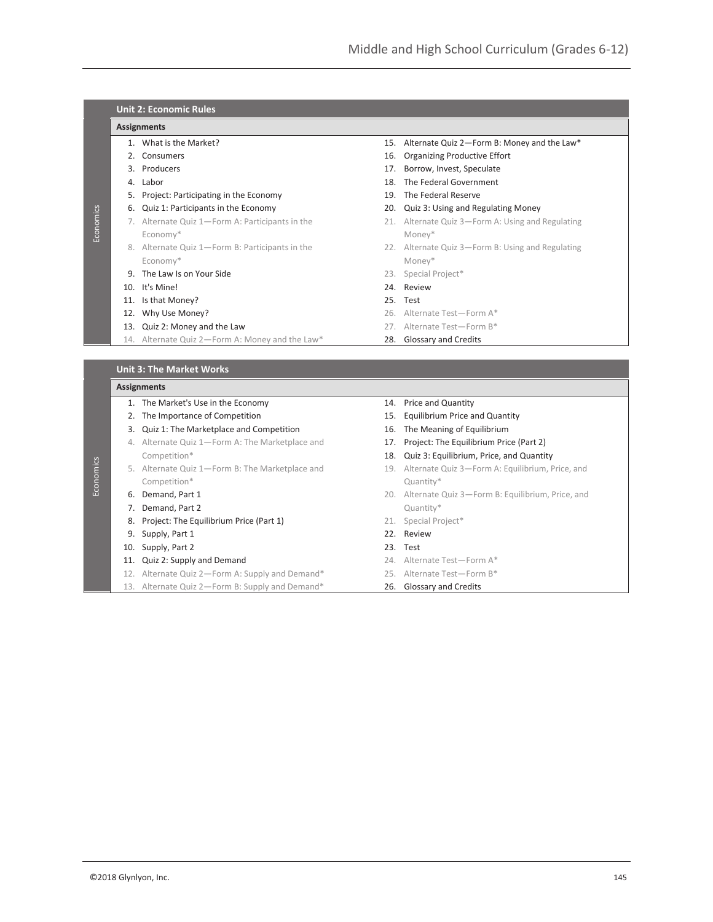|           | <b>Unit 2: Economic Rules</b> |                                                 |  |                                                      |  |  |
|-----------|-------------------------------|-------------------------------------------------|--|------------------------------------------------------|--|--|
|           | <b>Assignments</b>            |                                                 |  |                                                      |  |  |
| Economics |                               | 1. What is the Market?                          |  | 15. Alternate Quiz 2-Form B: Money and the Law*      |  |  |
|           |                               | 2. Consumers                                    |  | 16. Organizing Productive Effort                     |  |  |
|           |                               | 3. Producers                                    |  | 17. Borrow, Invest, Speculate                        |  |  |
|           |                               | 4. Labor                                        |  | 18. The Federal Government                           |  |  |
|           |                               | 5. Project: Participating in the Economy        |  | 19. The Federal Reserve                              |  |  |
|           |                               | 6. Quiz 1: Participants in the Economy          |  | 20. Quiz 3: Using and Regulating Money               |  |  |
|           |                               | 7. Alternate Quiz 1-Form A: Participants in the |  | 21. Alternate Quiz 3-Form A: Using and Regulating    |  |  |
|           |                               | Economy*                                        |  | Money*                                               |  |  |
|           |                               | 8. Alternate Quiz 1-Form B: Participants in the |  | 22. Alternate Quiz 3-Form B: Using and Regulating    |  |  |
|           |                               | Economy*                                        |  | Money*                                               |  |  |
|           |                               | 9. The Law Is on Your Side                      |  | 23. Special Project*                                 |  |  |
|           |                               | 10. It's Mine!                                  |  | 24. Review                                           |  |  |
|           |                               | 11. Is that Money?                              |  | 25. Test                                             |  |  |
|           |                               | 12. Why Use Money?                              |  | 26. Alternate Test-Form A*                           |  |  |
|           |                               | 13. Quiz 2: Money and the Law                   |  | 27. Alternate Test-Form B*                           |  |  |
|           |                               | 14. Alternate Quiz 2-Form A: Money and the Law* |  | 28. Glossary and Credits                             |  |  |
|           |                               |                                                 |  |                                                      |  |  |
|           |                               | <b>Unit 3: The Market Works</b>                 |  |                                                      |  |  |
|           | <b>Assignments</b>            |                                                 |  |                                                      |  |  |
|           |                               | 1. The Market's Use in the Economy              |  | 14. Price and Quantity                               |  |  |
|           |                               | 2. The Importance of Competition                |  | 15. Equilibrium Price and Quantity                   |  |  |
|           |                               | 3. Quiz 1: The Marketplace and Competition      |  | 16. The Meaning of Equilibrium                       |  |  |
|           |                               | 4. Alternate Quiz 1-Form A: The Marketplace and |  | 17. Project: The Equilibrium Price (Part 2)          |  |  |
|           |                               | Competition*                                    |  | 18. Quiz 3: Equilibrium, Price, and Quantity         |  |  |
| Economics |                               | 5. Alternate Quiz 1-Form B: The Marketplace and |  | 19. Alternate Quiz 3-Form A: Equilibrium, Price, and |  |  |
|           |                               | Competition*                                    |  | Quantity*                                            |  |  |
|           |                               | 6. Demand, Part 1                               |  | 20. Alternate Quiz 3-Form B: Equilibrium, Price, and |  |  |
|           |                               | 7. Demand, Part 2                               |  | Quantity*                                            |  |  |
|           |                               | 8. Project: The Equilibrium Price (Part 1)      |  | 21. Special Project*                                 |  |  |
|           |                               | 9. Supply, Part 1                               |  | 22. Review                                           |  |  |
|           |                               | 10. Supply, Part 2                              |  | 23. Test                                             |  |  |
|           |                               | 11. Quiz 2: Supply and Demand                   |  | 24. Alternate Test-Form A*                           |  |  |
|           |                               |                                                 |  |                                                      |  |  |
|           |                               | 12. Alternate Quiz 2-Form A: Supply and Demand* |  | 25. Alternate Test-Form B*                           |  |  |